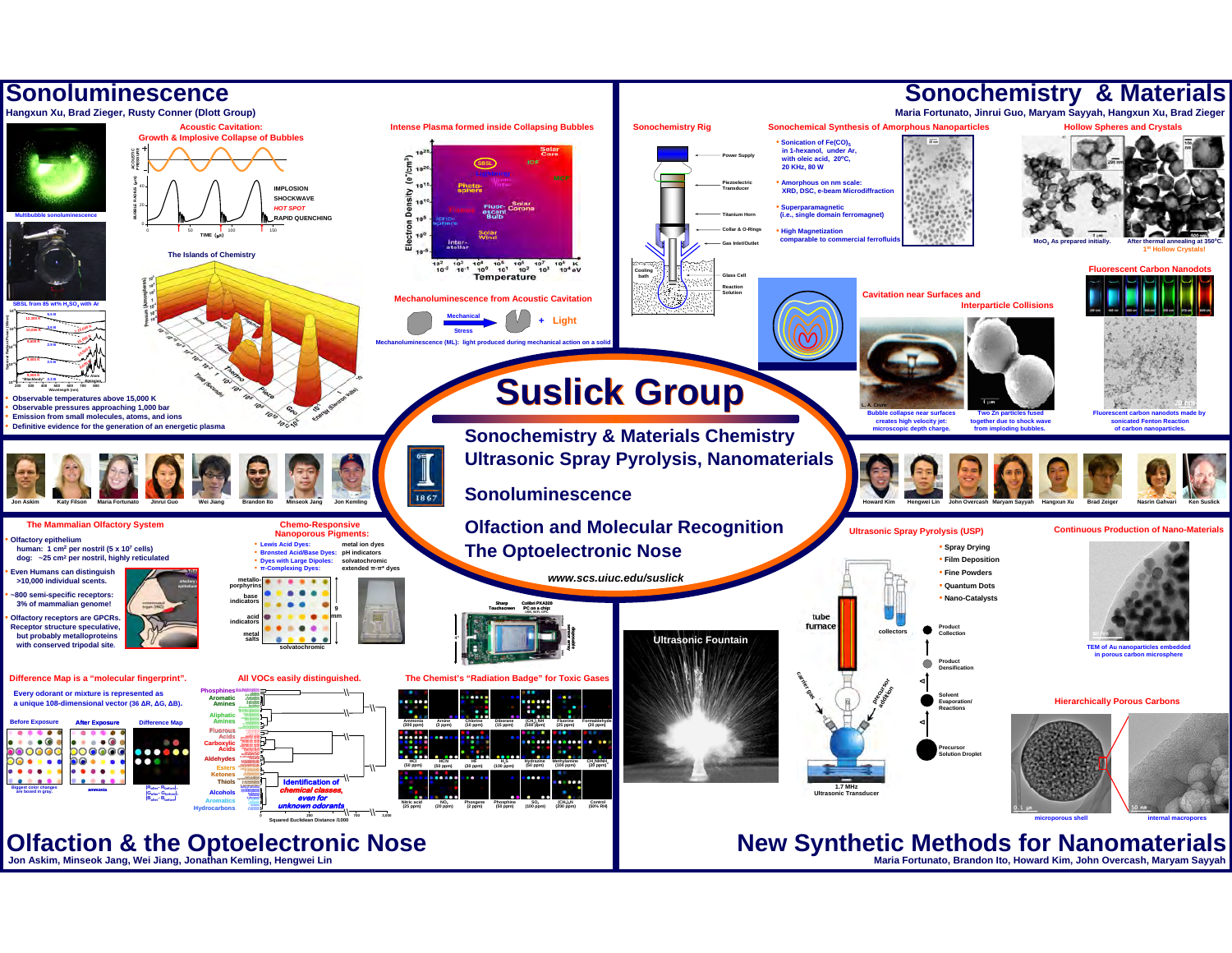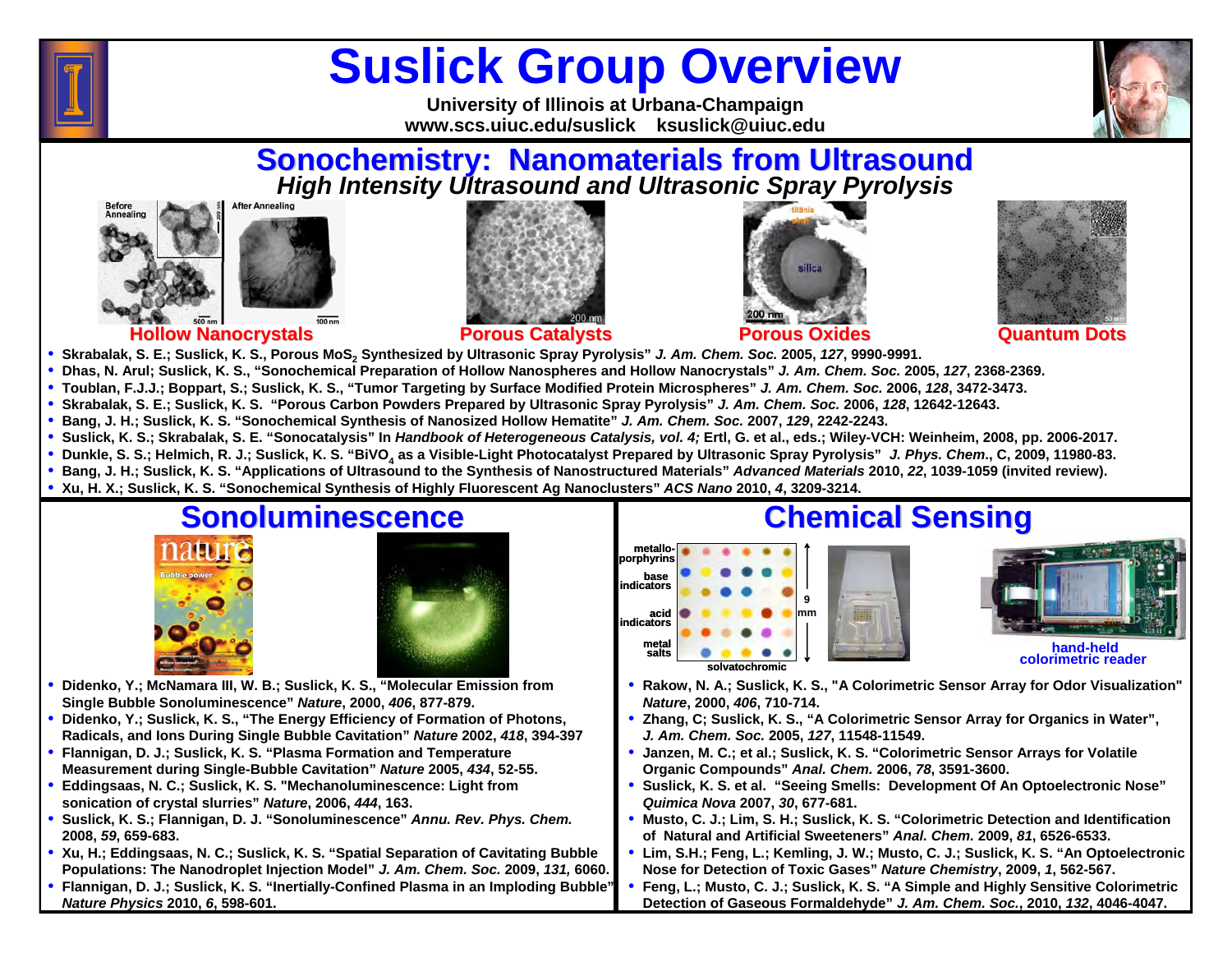

# **Suslick Group Overview**

**University of Illinois at Urbana-Champaign www.scs.uiuc.edu/suslick ksuslick@uiuc.edu**

# **Sonochemistry: Nanomaterials from Ultrasound<br>
High Intensity Ultrasound and Ultrasonic Spray Pyrolysis**









**Hollow Nanocrystals Porous Catalysts Porous Oxides Quantum Dots**

- **Skrabalak, S. E.; Suslick, K. S., Porous MoS2 Synthesized by Ultrasonic Spray Pyrolysis"** *J. Am. Chem. Soc.* **2005,** *127***, 9990-9991.**
- **Dhas, N. Arul; Suslick, K. S., "Sonochemical Preparation of Hollow Nanospheres and Hollow Nanocrystals"** *J. Am. Chem. Soc.* **2005,** *127***, 2368-2369.**
- **Toublan, F.J.J.; Boppart, S.; Suslick, K. S., "Tumor Targeting by Surface Modified Protein Microspheres"** *J. Am. Chem. Soc.* **2006,** *128***, 3472-3473.**
- **Skrabalak, S. E.; Suslick, K. S. "Porous Carbon Powders Prepared by Ultrasonic Spray Pyrolysis"** *J. Am. Chem. Soc.* **2006,** *128***, 12642-12643.**
- **Bang, J. H.; Suslick, K. S. "Sonochemical Synthesis of Nanosized Hollow Hematite"** *J. Am. Chem. Soc.* **2007,** *129***, 2242-2243.**
- **Suslick, K. S.; Skrabalak, S. E. "Sonocatalysis" In** *Handbook of Heterogeneous Catalysis, vol. 4;* **Ertl, G. et al., eds.; Wiley-VCH: Weinheim, 2008, pp. 2006-2017.**
- **Dunkle, S. S.; Helmich, R. J.; Suslick, K. S. "BiVO4 as a Visible-Light Photocatalyst Prepared by Ultrasonic Spray Pyrolysis"** *J. Phys. Chem***., C, 2009, 11980-83.**
- **Bang, J. H.; Suslick, K. S. "Applications of Ultrasound to the Synthesis of Nanostructured Materials"** *Advanced Materials* **2010,** *22***, 1039-1059 (invited review).**
- **Xu, H. X.; Suslick, K. S. "Sonochemical Synthesis of Highly Fluorescent Ag Nanoclusters"** *ACS Nano* **2010,**  *4***, 3209-3214.**



- • **Didenko, Y.; McNamara III, W. B.; Suslick, K. S., "Molecular Emission from Single Bubble Sonoluminescence"** *Nature***, 2000,** *406***, 877-879.**
- **Didenko, Y.; Suslick, K. S., "The Energy Efficiency of Formation of Photons, Radicals, and Ions During Single Bubble Cavitation"** *Nature* **2002,** *418***, 394-397**
- • **Flannigan, D. J.; Suslick, K. S. "Plasma Formation and Temperature Measurement during Single-Bubble Cavitation"** *Nature* **2005,** *434***, 52-55.**
- • **Eddingsaas, N. C.; Suslick, K. S. "Mechanoluminescence: Light from sonication of crystal slurries"** *Nature***, 2006,** *444***, 163.**
- • **Suslick, K. S.; Flannigan, D. J. "Sonoluminescence"** *Annu. Rev. Phys. Chem.*  **2008,** *59***, 659-683.**
- **Xu, H.; Eddingsaas, N. C.; Suslick, K. S. "Spatial Separation of Cavitating Bubble Populations: The Nanodroplet Injection Model"** *J. Am. Chem. Soc.* **2009,** *131,* **6060.**
- • **Flannigan, D. J.; Suslick, K. S. "Inertially-Confined Plasma in an Imploding Bubble"** *Nature Physics* **2010,**  *6***, 598-601.**

### **Chemical Sensing Chemical Sensing**

**9mmmetalloporphyrins base indicatorsacid indicatorsmetal saltssolvatochromic**



**hand-held colorimetric reader** 

- • **Rakow, N. A.; Suslick, K. S., "A Colorimetric Sensor Array for Odor Visualization"**  *Nature***, 2000,** *406***, 710-714.**
- • **Zhang, C; Suslick, K. S., "A Colorimetric Sensor Array for Organics in Water",**  *J. Am. Chem. Soc.* **2005,** *127***, 11548-11549.**
- • **Janzen, M. C.; et al.; Suslick, K. S. "Colorimetric Sensor Arrays for Volatile Organic Compounds"** *Anal. Chem.* **2006,** *78***, 3591-3600.**
- • **Suslick, K. S. et al. "Seeing Smells: Development Of An Optoelectronic Nose"** *Quimica Nova* **2007,** *30***, 677-681.**
- • **Musto, C. J.; Lim, S. H.; Suslick, K. S. "Colorimetric Detection and Identification of Natural and Artificial Sweeteners"** *Anal. Chem.* **2009,** *81***, 6526-6533.**
- • **Lim, S.H.; Feng, L.; Kemling, J. W.; Musto, C. J.; Suslick, K. S. "An Optoelectronic Nose for Detection of Toxic Gases"** *Nature Chemistry***, 2009,** *1***, 562-567.**
- • **Feng, L.; Musto, C. J.; Suslick, K. S. "A Simple and Highly Sensitive Colorimetric Detection of Gaseous Formaldehyde"** *J. Am. Chem. Soc.***, 2010,** *132***, 4046-4047.**

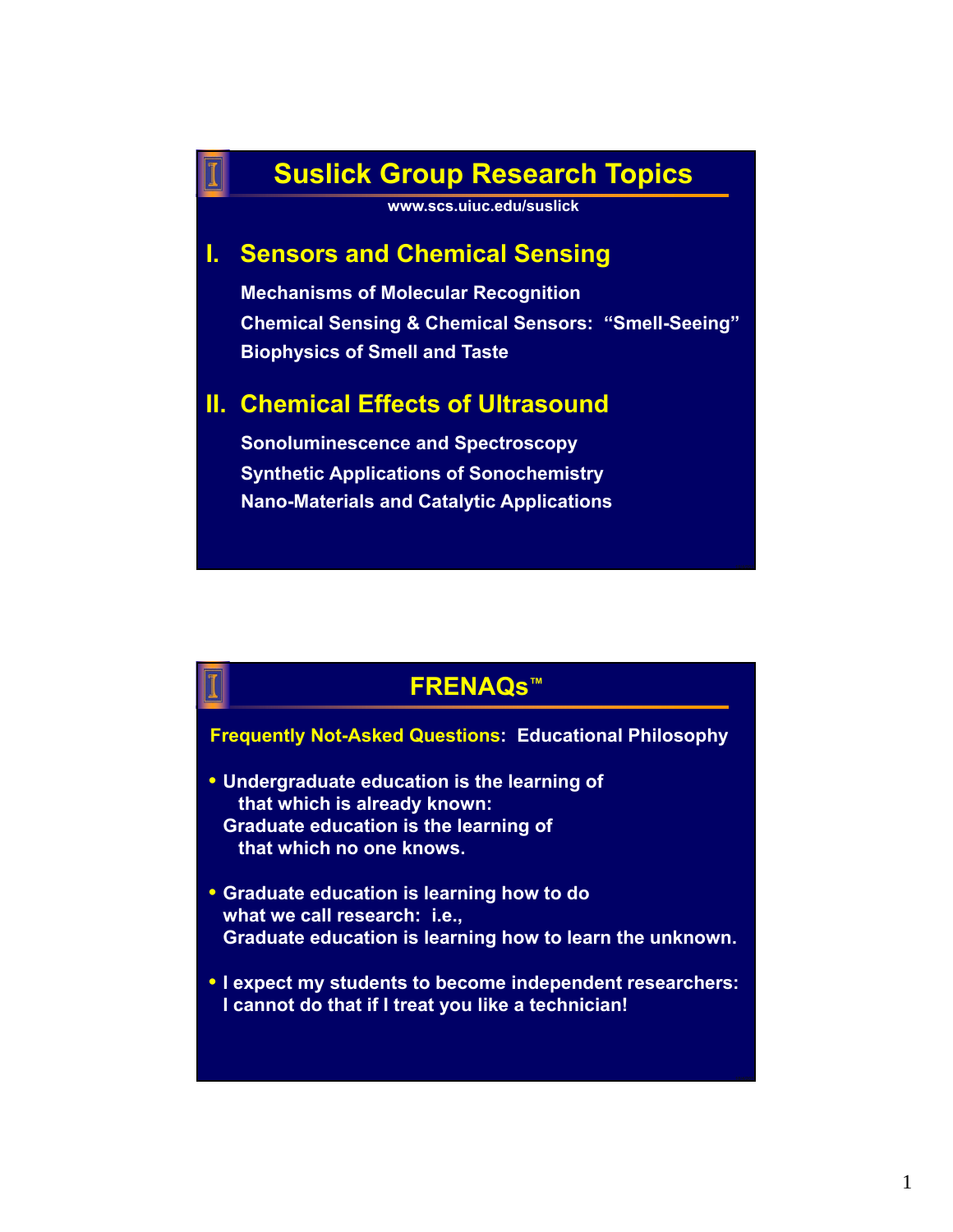## **Suslick Group Research Topics**

**www.scs.uiuc.edu/suslick**

#### **I. Sensors and Chemical Sensing**

**Mechanisms of Molecular Recognition Chemical Sensing & Chemical Sensors: "Smell-Seeing" Biophysics of Smell and Taste**

#### **II. Chemical Effects of Ultrasound**

**Sonoluminescence and Spectroscopy Synthetic Applications of Sonochemistry Nano-Materials and Catalytic Applications**

#### **FRENAQs™**

#### **Frequently Not-Asked Questions: Educational Philosophy**

- **Undergraduate education is the learning of that which is already known: Graduate education is the learning of that which no one knows.**
- **Graduate education is learning how to do what we call research: i.e., Graduate education is learning how to learn the unknown.**
- **I expect my students to become independent researchers: I cannot do that if I treat you like a technician!**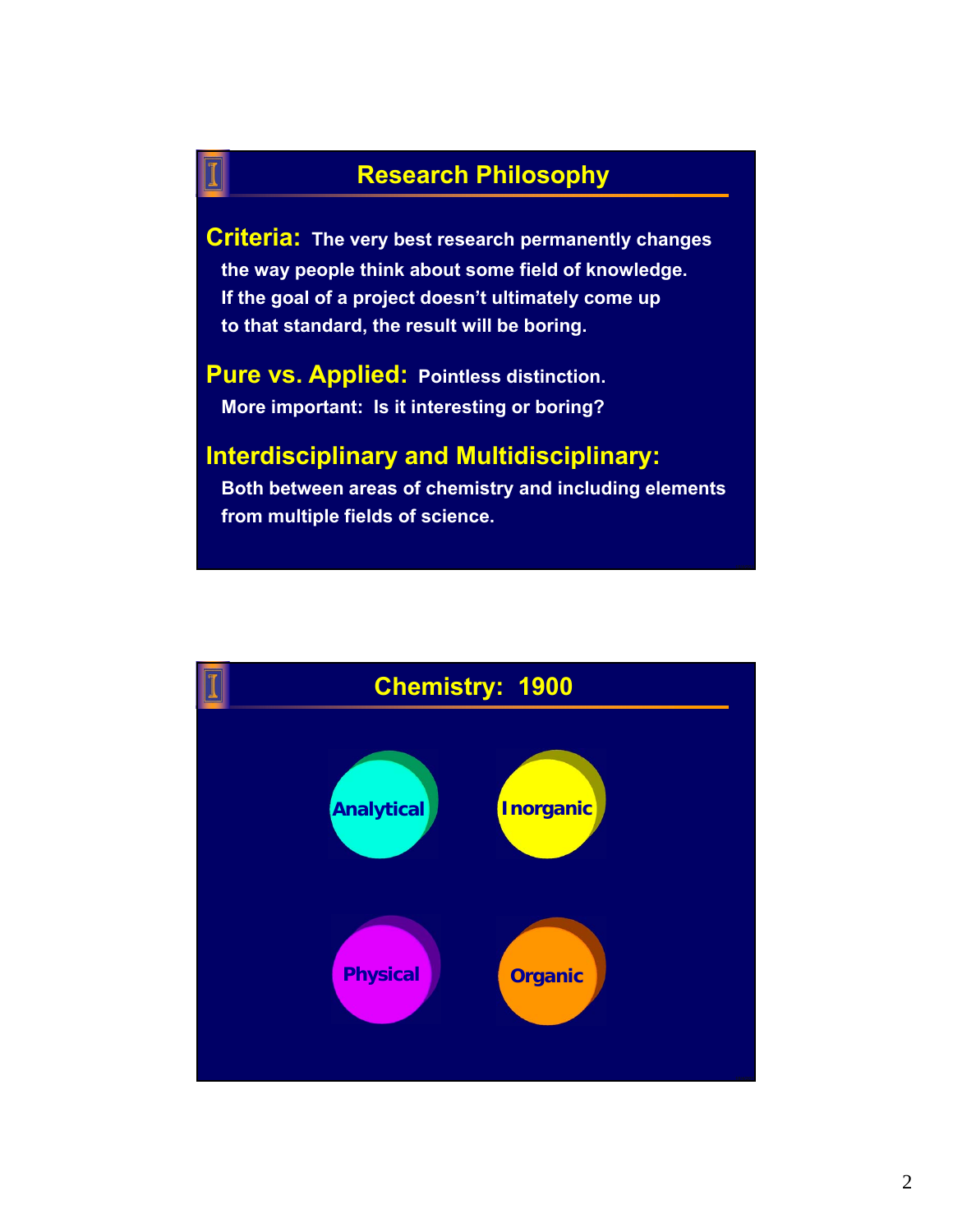### **Research Philosophy**

**Criteria: The very best research permanently changes the way people think about some field of knowledge. If the goal of a project doesn't ultimately come up to that standard, the result will be boring.** 

**Pure vs. Applied: Pointless distinction. More important: Is it interesting or boring?**

#### **Interdisciplinary and Multidisciplinary:**

**Both between areas of chemistry and including elements from multiple fields of science.**

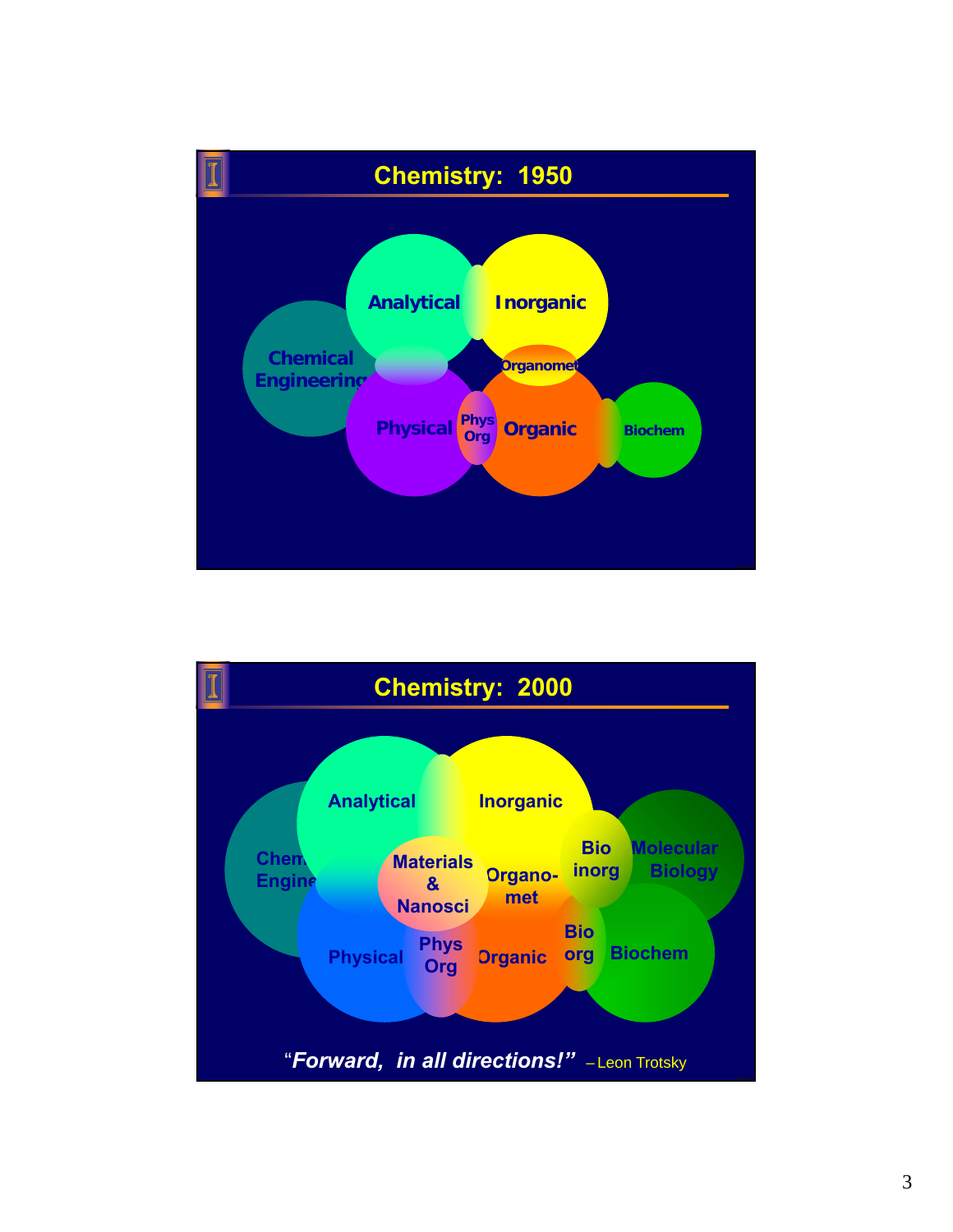